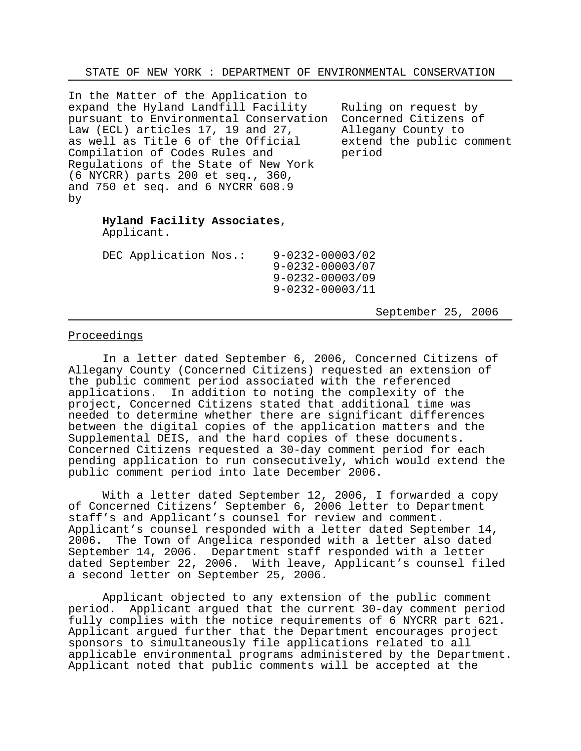STATE OF NEW YORK : DEPARTMENT OF ENVIRONMENTAL CONSERVATION

In the Matter of the Application to expand the Hyland Landfill Facility Ruling on request by<br>pursuant to Environmental Conservation Concerned Citizens of pursuant to Environmental Conservation Concerned Citizens<br>Law (ECL) articles 17, 19 and 27, allegany County to Law (ECL) articles 17, 19 and 27, allegany County to<br>as well as Title 6 of the Official extend the public comment as well as Title 6 of the Official Compilation of Codes Rules and period Regulations of the State of New York (6 NYCRR) parts 200 et seq., 360, and 750 et seq. and 6 NYCRR 608.9 by

## **Hyland Facility Associates**,

Applicant.

| DEC Application Nos.: |  | $9 - 0232 - 00003/02$<br>$9 - 0232 - 00003/07$ |  |  |
|-----------------------|--|------------------------------------------------|--|--|
|                       |  | $9 - 0232 - 00003/09$                          |  |  |
|                       |  | $9 - 0232 - 00003/11$                          |  |  |

September 25, 2006

## Proceedings

In a letter dated September 6, 2006, Concerned Citizens of Allegany County (Concerned Citizens) requested an extension of the public comment period associated with the referenced applications. In addition to noting the complexity of the project, Concerned Citizens stated that additional time was needed to determine whether there are significant differences between the digital copies of the application matters and the Supplemental DEIS, and the hard copies of these documents. Concerned Citizens requested a 30-day comment period for each pending application to run consecutively, which would extend the public comment period into late December 2006.

With a letter dated September 12, 2006, I forwarded a copy of Concerned Citizens' September 6, 2006 letter to Department staff's and Applicant's counsel for review and comment. Applicant's counsel responded with a letter dated September 14, 2006. The Town of Angelica responded with a letter also dated September 14, 2006. Department staff responded with a letter dated September 22, 2006. With leave, Applicant's counsel filed a second letter on September 25, 2006.

Applicant objected to any extension of the public comment period. Applicant argued that the current 30-day comment period fully complies with the notice requirements of 6 NYCRR part 621. Applicant argued further that the Department encourages project sponsors to simultaneously file applications related to all applicable environmental programs administered by the Department. Applicant noted that public comments will be accepted at the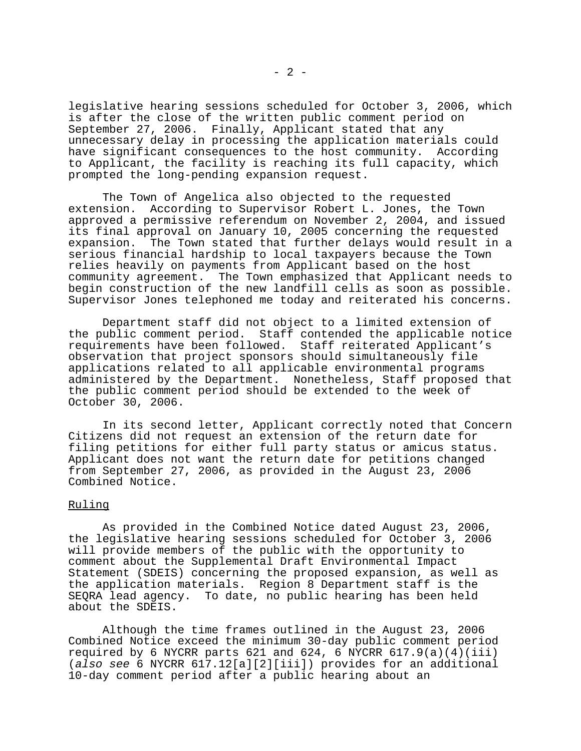legislative hearing sessions scheduled for October 3, 2006, which is after the close of the written public comment period on September 27, 2006. Finally, Applicant stated that any unnecessary delay in processing the application materials could have significant consequences to the host community. According to Applicant, the facility is reaching its full capacity, which prompted the long-pending expansion request.

The Town of Angelica also objected to the requested extension. According to Supervisor Robert L. Jones, the Town approved a permissive referendum on November 2, 2004, and issued its final approval on January 10, 2005 concerning the requested expansion. The Town stated that further delays would result in a serious financial hardship to local taxpayers because the Town relies heavily on payments from Applicant based on the host community agreement. The Town emphasized that Applicant needs to begin construction of the new landfill cells as soon as possible. Supervisor Jones telephoned me today and reiterated his concerns.

Department staff did not object to a limited extension of the public comment period. Staff contended the applicable notice requirements have been followed. Staff reiterated Applicant's observation that project sponsors should simultaneously file applications related to all applicable environmental programs administered by the Department. Nonetheless, Staff proposed that the public comment period should be extended to the week of October 30, 2006.

In its second letter, Applicant correctly noted that Concern Citizens did not request an extension of the return date for filing petitions for either full party status or amicus status. Applicant does not want the return date for petitions changed from September 27, 2006, as provided in the August 23, 2006 Combined Notice.

## Ruling

As provided in the Combined Notice dated August 23, 2006, the legislative hearing sessions scheduled for October 3, 2006 will provide members of the public with the opportunity to comment about the Supplemental Draft Environmental Impact Statement (SDEIS) concerning the proposed expansion, as well as the application materials. Region 8 Department staff is the SEQRA lead agency. To date, no public hearing has been held about the SDEIS.

Although the time frames outlined in the August 23, 2006 Combined Notice exceed the minimum 30-day public comment period required by 6 NYCRR parts 621 and 624, 6 NYCRR 617.9(a)(4)(iii) (*also see* 6 NYCRR 617.12[a][2][iii]) provides for an additional 10-day comment period after a public hearing about an